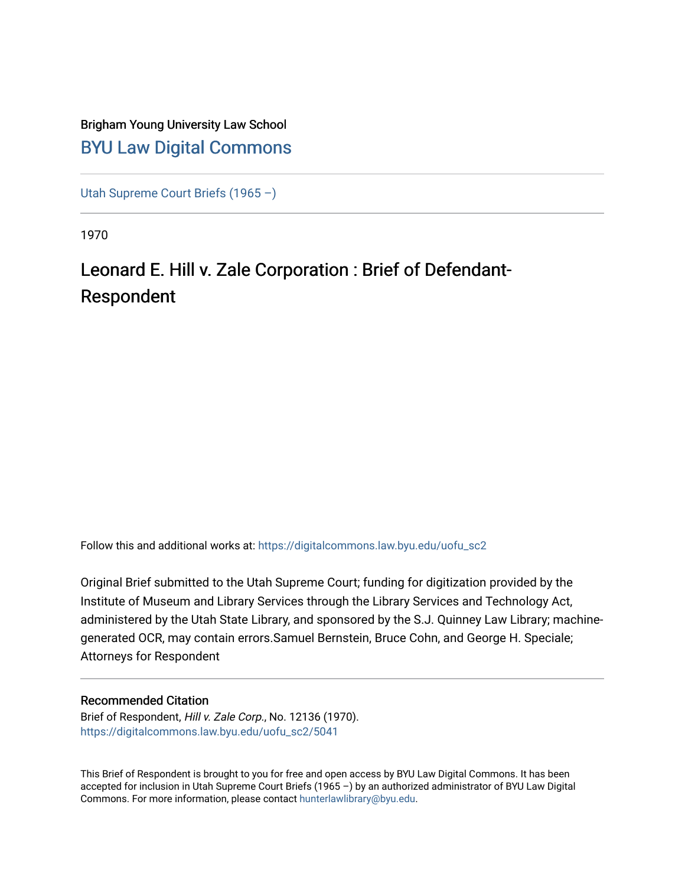## Brigham Young University Law School [BYU Law Digital Commons](https://digitalcommons.law.byu.edu/)

[Utah Supreme Court Briefs \(1965 –\)](https://digitalcommons.law.byu.edu/uofu_sc2)

1970

# Leonard E. Hill v. Zale Corporation : Brief of Defendant-Respondent

Follow this and additional works at: [https://digitalcommons.law.byu.edu/uofu\\_sc2](https://digitalcommons.law.byu.edu/uofu_sc2?utm_source=digitalcommons.law.byu.edu%2Fuofu_sc2%2F5041&utm_medium=PDF&utm_campaign=PDFCoverPages)

Original Brief submitted to the Utah Supreme Court; funding for digitization provided by the Institute of Museum and Library Services through the Library Services and Technology Act, administered by the Utah State Library, and sponsored by the S.J. Quinney Law Library; machinegenerated OCR, may contain errors.Samuel Bernstein, Bruce Cohn, and George H. Speciale; Attorneys for Respondent

#### Recommended Citation

Brief of Respondent, Hill v. Zale Corp., No. 12136 (1970). [https://digitalcommons.law.byu.edu/uofu\\_sc2/5041](https://digitalcommons.law.byu.edu/uofu_sc2/5041?utm_source=digitalcommons.law.byu.edu%2Fuofu_sc2%2F5041&utm_medium=PDF&utm_campaign=PDFCoverPages) 

This Brief of Respondent is brought to you for free and open access by BYU Law Digital Commons. It has been accepted for inclusion in Utah Supreme Court Briefs (1965 –) by an authorized administrator of BYU Law Digital Commons. For more information, please contact [hunterlawlibrary@byu.edu](mailto:hunterlawlibrary@byu.edu).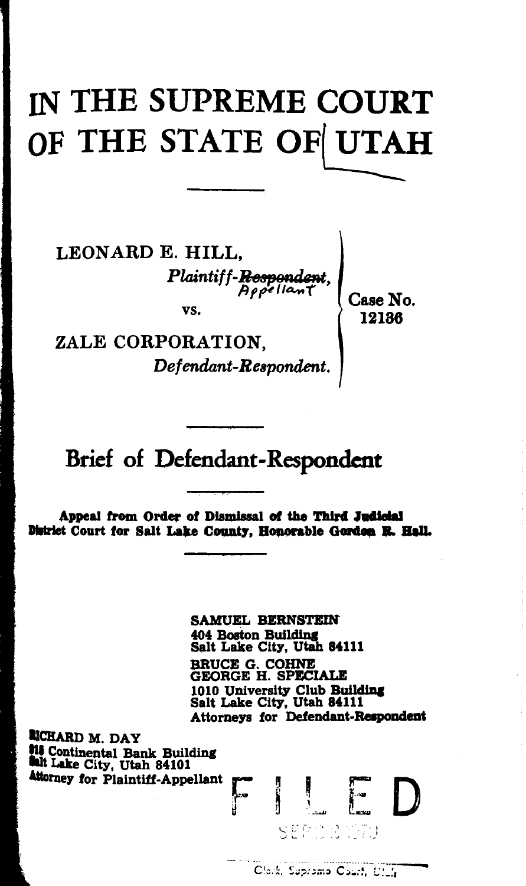# IN THE SUPREME COURT OF THE STATE OF UTAH

LEON ARD E. HILL, *Plaintiff-Respondent*, vs.

Case No. 12186

ZALE CORPORATION, *Def endant-Reapondent.* 

# Brief of Defendant-Respondent

Appeal from Order of Dismissal of the Third Judicial District Court for Salt Lake County. Honorable Gordon R. Hall.

> SAMUEL BERNSTEIN 404 Boston Building Salt Lake City, Utah 84111 BRUCE G. COHNE GEORGE H. SPECIALE 1010 University Club Building Salt Lake City, Utah 84111 Attorneys for Defendant-Respondent

**RICHARD M. DAY<br>114 Continental Bank Building** hi Lake City, Utah 84101

 $\prod_{\mathrm{SEP}(\mathcal{I})\subset\mathcal{P}}$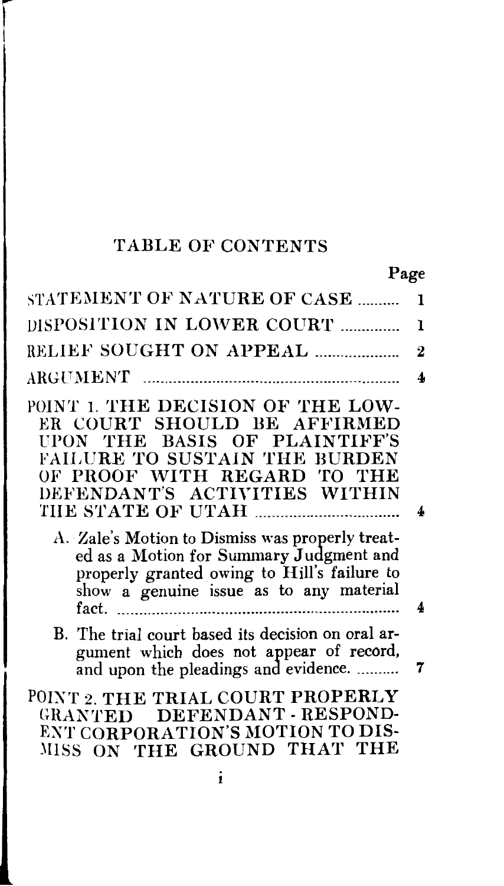### TABLE OF CONTENTS

I

| Page                                                                                                                                                                                                                                                                                                                                                                                              |          |
|---------------------------------------------------------------------------------------------------------------------------------------------------------------------------------------------------------------------------------------------------------------------------------------------------------------------------------------------------------------------------------------------------|----------|
| STATEMENT OF NATURE OF CASE                                                                                                                                                                                                                                                                                                                                                                       | 1        |
| DISPOSITION IN LOWER COURT                                                                                                                                                                                                                                                                                                                                                                        | L        |
| <b>RELIEF SOUGHT ON APPEAL </b>                                                                                                                                                                                                                                                                                                                                                                   | $\bf{2}$ |
|                                                                                                                                                                                                                                                                                                                                                                                                   | 4        |
| POINT 1. THE DECISION OF THE LOW-<br>ER COURT SHOULD BE AFFIRMED<br>UPON THE BASIS OF PLAINTIFF'S<br><b>FAILURE TO SUSTAIN THE BURDEN</b><br>OF PROOF WITH REGARD TO THE<br>DEFENDANT'S ACTIVITIES WITHIN<br>A. Zale's Motion to Dismiss was properly treat-<br>ed as a Motion for Summary Judgment and<br>properly granted owing to Hill's failure to<br>show a genuine issue as to any material | 4        |
|                                                                                                                                                                                                                                                                                                                                                                                                   | 4        |
| B. The trial court based its decision on oral ar-<br>gument which does not appear of record,<br>and upon the pleadings and evidence.                                                                                                                                                                                                                                                              | 7        |
| POINT 2. THE TRIAL COURT PROPERLY<br>GRANTED DEFENDANT - RESPOND-<br>ENT CORPORATION'S MOTION TO DIS-<br>MISS ON THE GROUND THAT THE                                                                                                                                                                                                                                                              |          |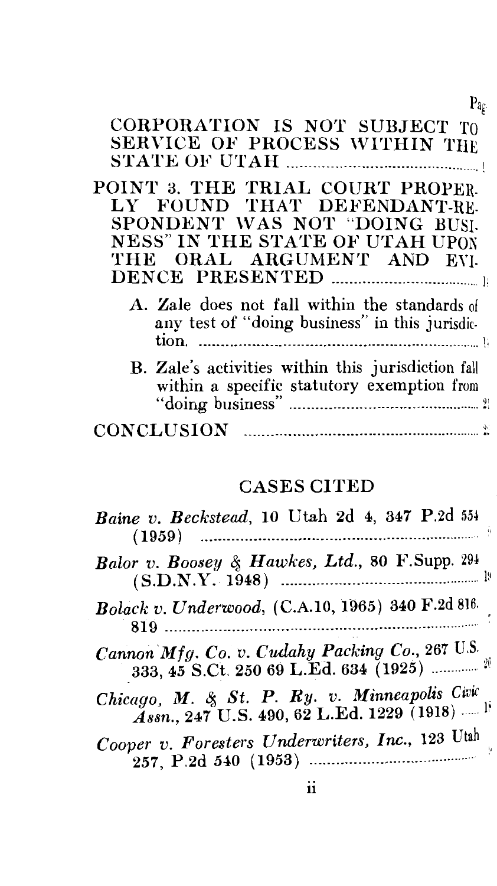#### CORPORATION IS NOT SUBJECT TO SERVICE OF PROCESS WITHIN THE STATE OF UTAH -----------------------------------------·· . !

Pag

POINT 3. THE TRIAL COURT PROPER-LY FOUND THAT DEFENDANT-RE-SPONDENT WAS NOT "DOING BUSI-NESS" IN THE STATE OF UTAH UPON THE ORAL ARGUMENT AND EVI-DENCE PRESENTED -------------------------------····· 1;

| A. Zale does not fall within the standards of  |  |
|------------------------------------------------|--|
| any test of "doing business" in this jurisdic- |  |
|                                                |  |

| B. Zale's activities within this jurisdiction fall |  |
|----------------------------------------------------|--|
| within a specific statutory exemption from         |  |
|                                                    |  |
| <b>CONCLUSION</b>                                  |  |

#### CASES CITED

| Baine v. Beckstead, 10 Utah 2d 4, 347 P.2d 554                                                                |
|---------------------------------------------------------------------------------------------------------------|
| Balor v. Boosey & Hawkes, Ltd., 80 F.Supp. 294                                                                |
| Bolack v. Underwood, (C.A.10, 1965) 340 F.2d 816.                                                             |
|                                                                                                               |
| Chicago, M. & St. P. Ry. v. Minneapolis Civic<br>$\AA$ ssn., 247 U.S. 490, 62 L.Ed. 1229 (1918) <sup>18</sup> |
| Cooper v. Foresters Underwriters, Inc., 123 Utah                                                              |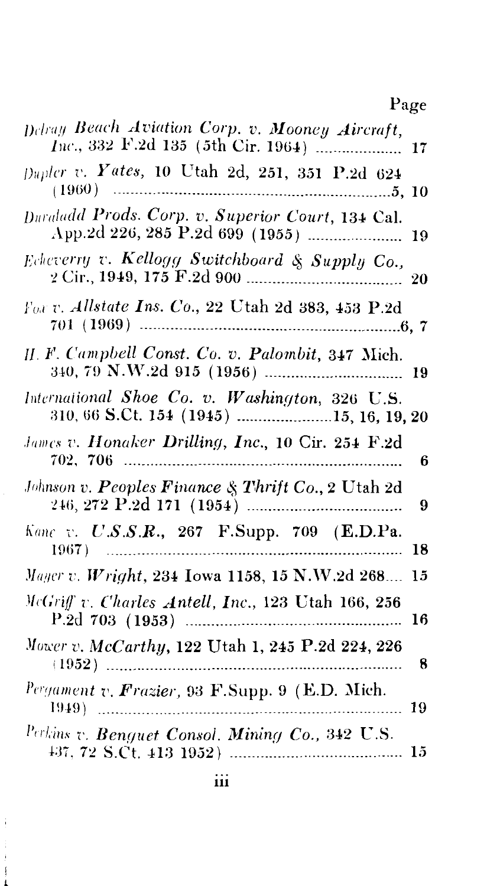# Page

| Delray Beach Aviation Corp. v. Mooney Aircraft,                     |
|---------------------------------------------------------------------|
| Dupler v. Yates, 10 Utah 2d, 251, 351 P.2d 624                      |
| Duraladd Prods. Corp. v. Superior Court, 134 Cal.                   |
| Echeverry v. Kellogg Switchboard & Supply Co.,                      |
| For v. Allstate Ins. Co., 22 Utah 2d 383, 453 P.2d                  |
| H. F. Campbell Const. Co. v. Palombit, 347 Mich.                    |
| International Shoe Co. v. Washington, 326 U.S.                      |
| James v. Honaker Drilling, Inc., 10 Cir. 254 F.2d<br>6              |
| Johnson v. Peoples Finance & Thrift Co., 2 Utah 2d<br>9             |
| $Kane$ v. $U.S.S.R., 267$ F.Supp. 709 (E.D.Pa. 1967)<br>18          |
| Mayer v. Wright, 234 Iowa 1158, 15 N.W.2d 268<br>15                 |
| McGriff v. Charles Antell, Inc., 123 Utah 166, 256<br>16            |
| Mower v. McCarthy, 122 Utah 1, 245 P.2d 224, 226<br>8               |
| $\frac{Pergament}{1949}$ v. Frazier, 93 F.Supp. 9 (E.D. Mich.<br>19 |
| Perkins v. Benguet Consol. Mining Co., 342 U.S.                     |

.I..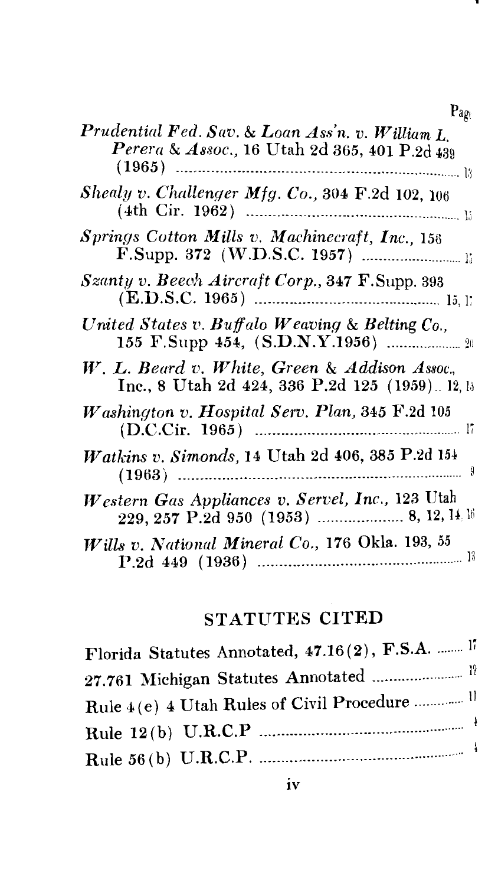| × |
|---|
|---|

| Prudential Fed. Sav. & Loan Ass'n. v. William L.<br>Perera & Assoc., 16 Utah 2d 365, 401 P.2d 439 |
|---------------------------------------------------------------------------------------------------|
| Shealy v. Challenger Mfg. Co., 304 F.2d 102, 106                                                  |
| Springs Cotton Mills v. Machinecraft, Inc., 156                                                   |
| Szanty v. Beech Aircraft Corp., 347 F.Supp. 393                                                   |
| United States v. Buffalo Weaving & Belting Co.,                                                   |
| W. L. Beard v. White, Green & Addison Assoc.,<br>Inc., 8 Utah 2d 424, 336 P.2d 125 (1959) 12, 13  |
| Washington v. Hospital Serv. Plan, 345 F.2d 105                                                   |
| <i>Watkins v. Simonds,</i> 14 Utah 2d 406, 385 P.2d 154                                           |
| Western Gas Appliances v. Servel, Inc., 123 Utah                                                  |
| Wills v. National Mineral Co., 176 Okla. 193, 55                                                  |

# STATUTES CITED

| Florida Statutes Annotated, 47.16(2), F.S.A.  17        |  |
|---------------------------------------------------------|--|
| 27.761 Michigan Statutes Annotated  19                  |  |
| Rule 4(e) 4 Utah Rules of Civil Procedure <sup>11</sup> |  |
|                                                         |  |
|                                                         |  |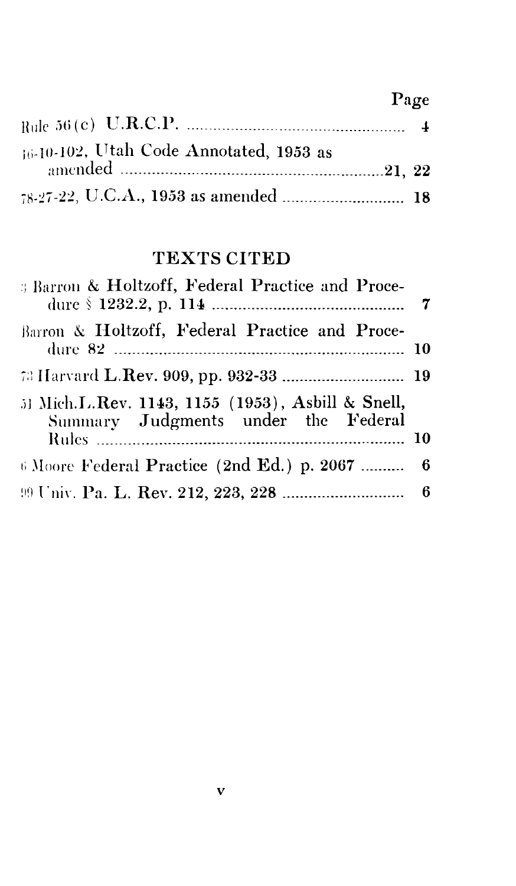### Page

| 16-10-102, Utah Code Annotated, 1953 as |  |
|-----------------------------------------|--|
|                                         |  |
|                                         |  |

### TEXTS CITED

| <b>Barron &amp; Holtzoff, Federal Practice and Proce-</b>                                |  |
|------------------------------------------------------------------------------------------|--|
| Barron & Holtzoff, Federal Practice and Proce-                                           |  |
|                                                                                          |  |
| 51 Mich.L.Rev. 1143, 1155 (1953), Asbill & Snell,<br>Summary Judgments under the Federal |  |
|                                                                                          |  |
| 6 Moore Federal Practice (2nd Ed.) p. 2067  6                                            |  |
|                                                                                          |  |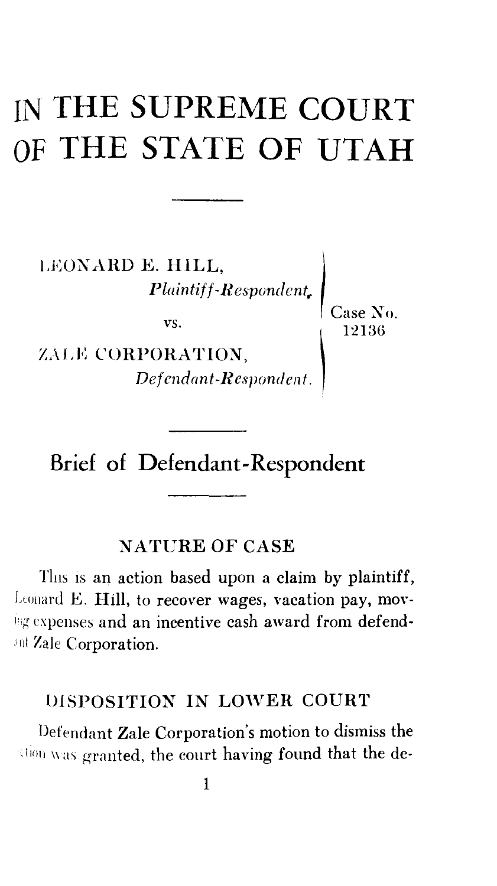# IN **THE SUPREME COURT OF THE STATE OF UTAH**

LEONARD **E. HILL,**  $\begin{array}{c|c} \text{limit} \end{array} \begin{array}{c} \text{Respondent}_r \end{array} \begin{array}{c} \text{Case N} \end{array} \ \begin{array}{c} \text{Case N} \end{array} \ \begin{array}{c} \text{12136} \end{array}$ 

ZALE CORPORATION, *Defendant-Respondent.*  Case Xo.

## Brief of Defendant-Respondent

#### NATURE OF CASE

This is an action based upon a claim by plaintiff, Leonard E. Hill, to recover wages, vacation pay, moving expenses and an incentive cash award from defendant Zale Corporation.

#### DISPOSITION IN LOWER COURT

Defendant Zale Corporation's motion to dismiss the  $t_{\rm 1001}$  was granted, the court having found that the de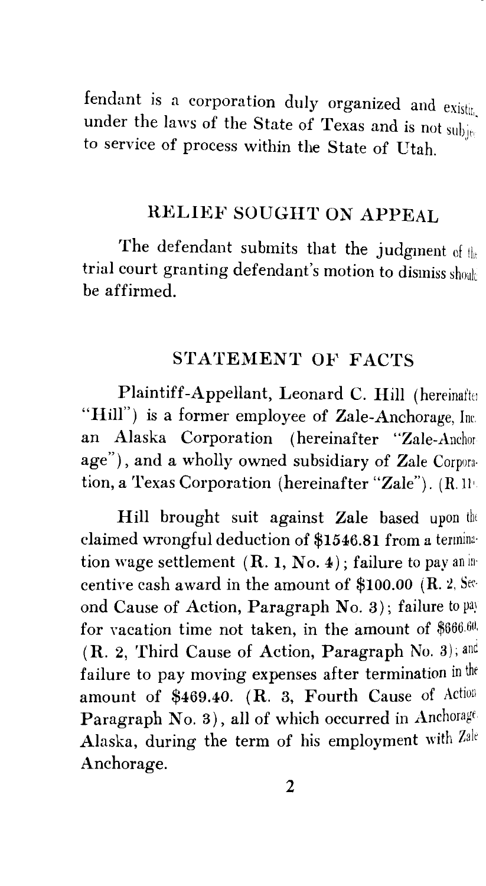fendant is a corporation duly organized and  $\text{exist}_{\text{int}}$ under the laws of the State of Texas and is not subject to service of process within the State of Utah.

### RELIEF SOUGHT ON APPEAL

The defendant submits that the judgment of  $t_{\text{th}}$ trial court granting defendant's motion to dismiss shouk be affirmed.

#### STATEMENT OF FACTS

Plaintiff-Appellant, Leonard C. Hill (hereinafter "Hill") is a former employee of Zale-Anchorage, Inc. an Alaska Corporation (hereinafter "Zale-Anchor age"), and a wholly owned subsidiary of Zale Corporation, a Texas Corporation (hereinafter "Zale"). (R.11'

Hill brought suit against Zale based upon the claimed wrongful deduction of \$1546.81 from a termination wage settlement  $(R, 1, No, 4)$ ; failure to pay an incentive cash award in the amount of \$100.00 (R. 2, Second Cause of Action, Paragraph No. 3); failure to pay for vacation time not taken, in the amount of  $$666.60$ . (R. 2, Third Cause of Action, Paragraph No. 3); anc failure to pay moving expenses after termination in the amount of \$469.40. (R. 3, Fourth Cause of Action Paragraph No. 3), all of which occurred in Anchorage Alaska, during the term of his employment with *Zale*  Anchorage.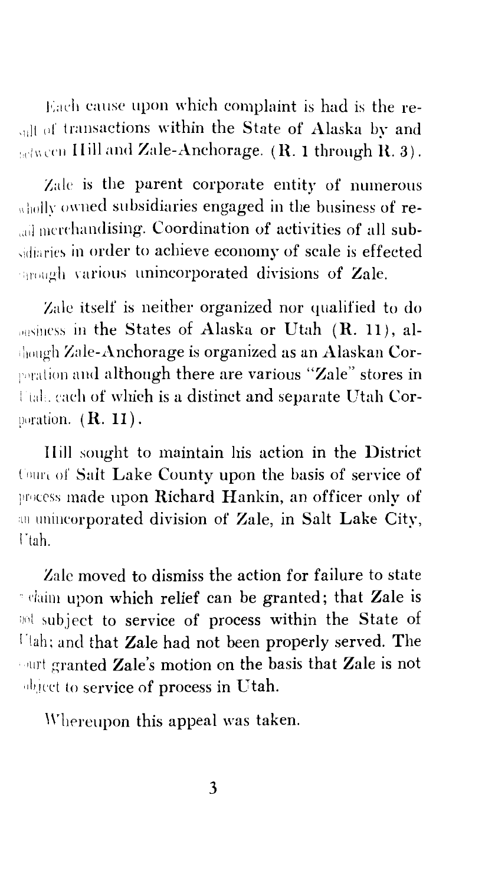Each cause upon which complaint is had is the re- $_{\text{all of transactions within the State of Alaska by and}$  $\mathbf{H}$  is a light ind Zale-Anchorage.  $(\mathbf{R}, \mathbf{1})$  through  $\mathbf{R}, \mathbf{3}$ .

Zaic is the parent corporate entity of numerous  $_{\text{wllol}}$ <sub>w</sub> owned subsidiaries engaged in the business of reall merchandising. Coordination of activities of all subsidiaries in order to achieve economy of scale is effected  $\epsilon_{\text{model}}$  various unincorporated divisions of Zale.

Zaic itself is neither organized nor qualified to do in the States of Alaska or Utah **(R.** 11), al-  $\frac{1}{10}$  and Zale-Anchorage is organized as an Alaskan Corporation and although there are various "Zale" stores in Utah. each of which is a distinct and separate Utah Corporation. (**R. 11).** 

IIill sought to maintain his action in the District Court of Salt Lake County upon the basis of service of process made upon Richard Hankin, an officer only of an unincorporated division of Zale, in Salt Lake City, rtah.

Zale moved to dismiss the action for failure to state · claim upon which relief can be granted; that Zale is <sup>100</sup> subject to service of process within the State of l'!ah; and that Zale had not been properly served. The ourt granted Zale's motion on the basis that Zale is not abject to service of process in Utah.

Whereupon this appeal was taken.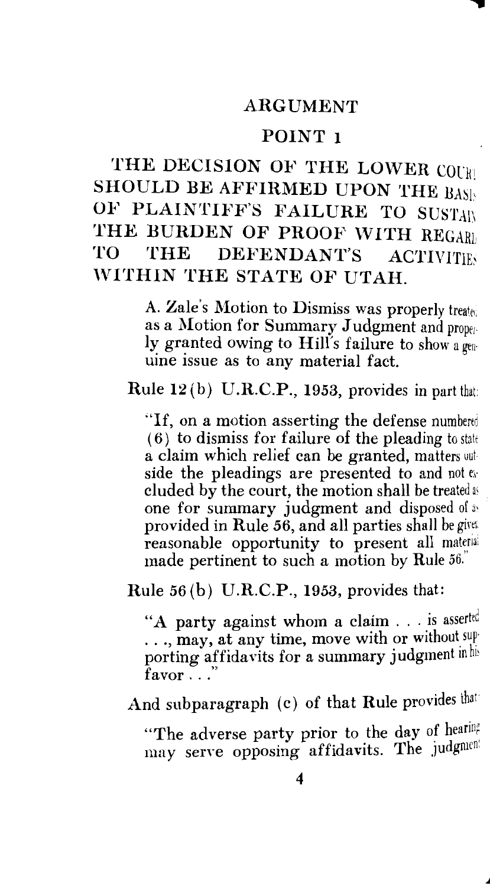#### ARGUMENT

#### POINT 1

THE DECISION OF THE LOWER COUR SHOULD BE AFFIRMED UPON THE BASI-OF PLAINTIFF'S FAILURE TO SUSTAIN THE BURDEN OF PROOF WITH REGARD<br>TO THE DEFENDANT'S ACTIVITIES THE DEFENDANT'S ACTIVITIES WITHIN THE STATE OF UTAH.

> A. Zale's Motion to Dismiss was properly treated as a Motion for Summary Judgment and properly granted owing to Hill's failure to show a genuine issue as to any material fact.

Rule  $12(b)$  U.R.C.P., 1953, provides in part that:

"If, on a motion asserting the defense  $(6)$  to dismiss for failure of the pleading to state a claim which relief can be granted, matters uul side the pleadings are presented to and not ecluded by the court, the motion shall be treated as one for summary judgment and disposed of as provided in Rule *56,* and all parties shall be girtr. reasonable opportunity to present all material made pertinent to such a motion by Rule 56.

Rule *56* (b) U.R.C.P., 1953, provides that:

"A party against whom a claim . . . is asserted ..., may, at any time, move with or without supporting affidavits for a summary judgment in his favor  $\cdot \cdot$   $\cdot$ 

And subparagraph (c) of that Rule provides that

"The adverse party prior to the day of hearing may serve opposing affidavits. The judgment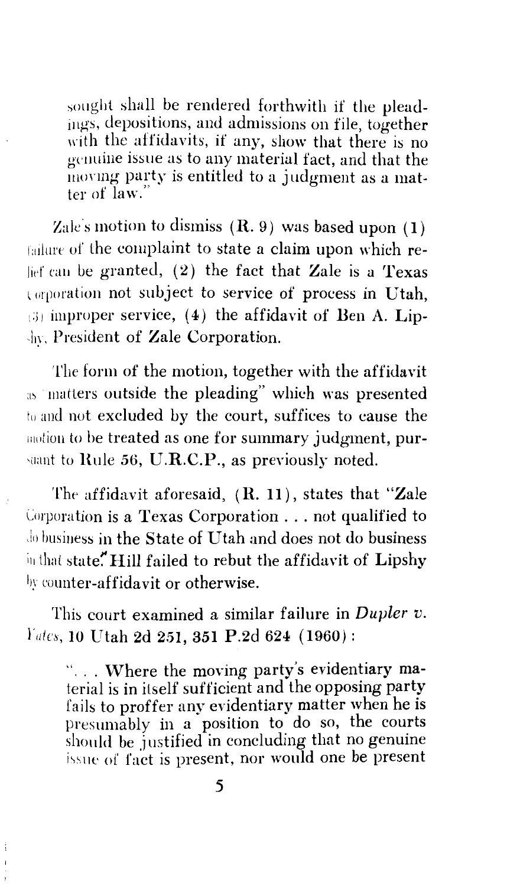sought shall be rendered forthwith if the pleadings, depositions, and admissions on file, together with the affidavits, if any, show that there is no gcuuine issue as to any material fact, and that the moving party is entitled to a judgment as a matter of law."

Zale's motion to dismiss  $(R, 9)$  was based upon (1) failure of the complaint to state a claim upon which relief can be granted,  $(2)$  the fact that Zale is a Texas torooration not subject to service of process in Utah,  $\Box$  improper service, (4) the affidavit of Ben A. Lip-·h>. President of Zale Corporation.

The form of the motion, together with the affidavit as matters outside the pleading" which was presented to and not excluded by the court, suffices to cause the motion to be treated as one for summary judgment, pursuant to Rule 56, U.R.C.P., as previously noted.

The affidavit aforesaid,  $(R, 11)$ , states that "Zale Corporation is a Texas Corporation ... not qualified to do business in the State of Utah and does not do business in that state." Hill failed to rebut the affidavit of Lipshy by counter-affidavit or otherwise.

This court examined a similar failure in *Dupler v. l'utcs,* IO Utah 2d 251, 351 P.2d 624 ( 1960):

"... Where the moving party's evidentiary material is in itself sufficient and the opposing party fails to proffer any evidentiary matter when he is presumably in a position to do so, the courts should be justified in concluding that no genuine issue of fact is present, nor would one be present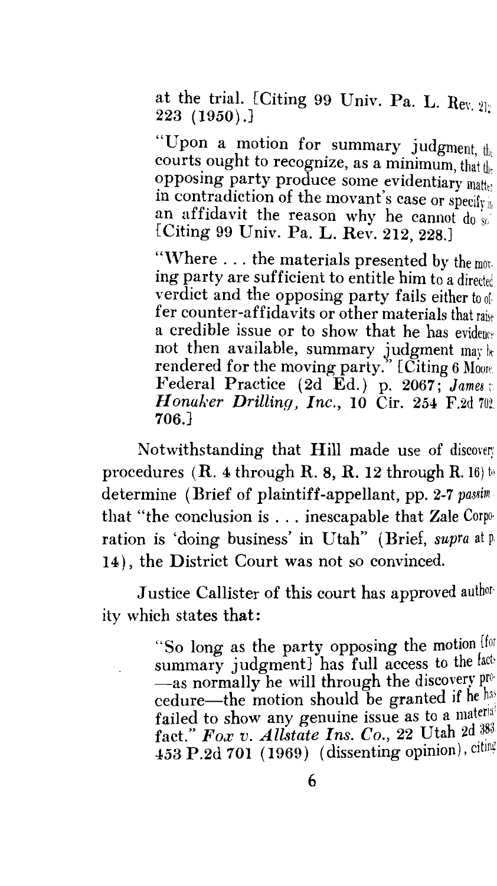at the trial. {Citing 99 Univ. Pa. L.  $\text{Re}y$ ,  $21$  $223 \text{ } (1950)$ .]

"Upon a motion for summary judgment,  $t_{\text{th}}$ courts ought to recognize, as a minimum, that the opposing party produce some evidentiary matter in contradiction of the movant's case or specify an affidavit the reason why he cannot  $d_0$  so [Citing 99 Univ. Pa. L. Rev. 212, 228.]

"Where  $\ldots$  the materials presented by the moning party are sufficient to entitle him to a directed verdict and the opposing party fails either to offer counter-affidavits or other materials that a credible issue or to show that he has evidence not then available, summary judgment may be rendered for the moving party." [Citing 6 Moore. Federal Practice (2d Ed.) p. 2067; James: *Honaker Drilling, Inc.,* 10 Cir. 254 F.2d 702. 706.J

Notwithstanding that Hill made use of discovery procedures (R. 4 through R. 8, R. 12 through R. 16) to determine (Brief of plaintiff-appellant, pp. 2-7 *passim*  that "the conclusion is ... inescapable that Zale Corpo· ration is 'doing business' in Utah" (Brief, *supra* at p. 14), the District Court was not so convinced.

Justice Callister of this court has approved author· ity which states that:

> "So long as the party opposing the motion (for summary judgment] has full access to the fact--as normally he will through the discovery procedure-the motion should be granted if he has failed to show any genuine issue as to a material fact." *Fox v. AUstate Ins. Co.,* 22 Utah 2d 453 P.2d 701 (1969) (dissenting opinion),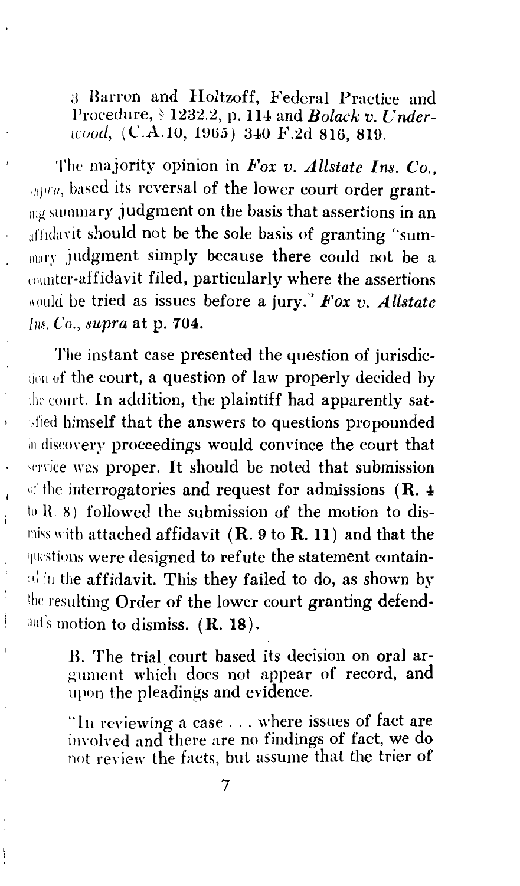*;3* Barron and Holtzoff, Federal Practice and Procedure, § 1232.2, p. 114 and *Bolack v. Under-1cood, (C.A.10, 1965)* 340 F.2d 816, 819.

The majority opinion in *Fox v. Allstate Ins. Co.*,  $\mu$ 11  $a$ , based its reversal of the lower court order granting summary judgment on the basis that assertions in an affidavit should not be the sole basis of granting "summary judgment simply because there could not be a counter-affidavit filed, particularly where the assertions would be tried as issues before a jury." Fox v. Allstate *fos. Co., supra* at p. 704.

The instant case presented the question of jurisdiclion of the court, a question of law properly decided by the court. In addition, the plaintiff had apparently sat-**1sfied himself that the answers to questions propounded** in discovery proceedings would convince the court that service was proper. It should be noted that submission of the interrogatories and request for admissions  $(R. 4)$ tu H. 8) followed the submission of the motion to dismiss with attached affidavit  $(R. 9$  to  $R. 11)$  and that the questions were designed to refute the statement contain-1.d in the affidavit. This they failed to do, as shown by the resulting Order of the lower court granting defend ant's motion to dismiss. (R. 18).

 $\bar{1}$ 

 $\mathbf{i}$ 

Ì  $\big)$ 

B. The trial court based its decision on oral argument which does not appear of record, and upon the pleadings and evidence.

"In reviewing a case . . . where issues of fact are involved and there are no findings of fact, we do not review the facts, but assume that the trier of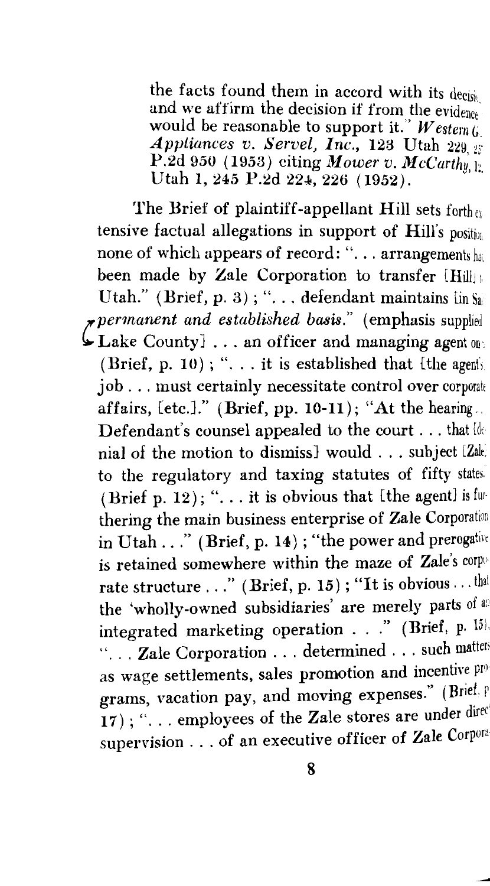the facts found them in accord with its decisiv and we affirm the decision if from the evidence would be reasonable to support it." *Western G Appliances v. Servel, Inc., 123 Utah 229. 27* P.2d 950 (1953) citing *Mower v. McCarthy*  $\psi$ Utah 1, 245 P.2d 224, 226 (1952).

The Brief of plaintiff-appellant Hill sets forth ru tensive factual allegations in support of  $Hill's$  position none of which appears of record: "... arrangements has been made by Zale Corporation to transfer  $\text{Hill}_{\mathbb{H}}$  , Utah." (Brief, p. 3); "... defendant maintains  $\lim_{n \to \infty} S_n$ *!'permanent and established basis."* (emphasis supplied  $\mathcal{L}_{\text{Lake County}}$  ... an officer and managing agent on: (Brief, p. 10); " $\dots$  it is established that [the agents] job . . . must certainly necessitate control over corporate affairs,  $[etc.].$ " (Brief, pp. 10-11); "At the hearing... Defendant's counsel appealed to the court  $\dots$  that  $\det$ nial of the motion to dismiss] would ... subject [Zak to the regulatory and taxing statutes of fifty states. (Brief p. 12); " $\dots$  it is obvious that [the agent] is furthering the main business enterprise of Zale Corporation in Utah ..." (Brief, p. 14); "the power and prerogative is retained somewhere within the maze of Zale's corporate structure ..." (Brief, p. 15); "It is obvious ... that the 'wholly-owned subsidiaries' are merely parts of an integrated marketing operation  $\ldots$  " (Brief, p. 15) "... Zale Corporation ... determined ... such matter as wage settlements, sales promotion and incentive  $p_{I^0}$ grams, vacation pay, and moving expenses." (Brief. P 17); "... employees of the Zale stores are under dired supervision . . . of an executive officer of Zale Corpora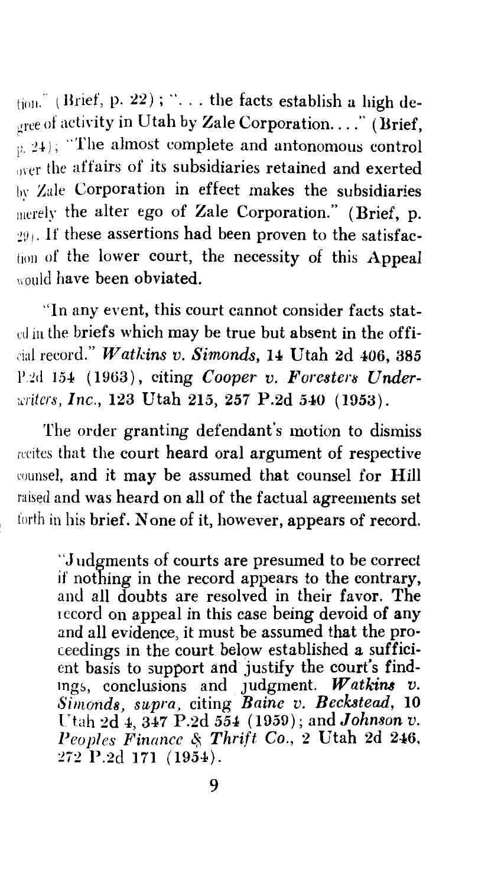$_{\text{total}}$  (Brief, p. 22); "... the facts establish a high deoree of activity in Utah by Zale Corporation...." (Brief,  $\hat{p}_1$   $\hat{p}_2$ <sub>i</sub>); "The almost complete and antonomous control  $\alpha$ <sub>over</sub> the affairs of its subsidiaries retained and exerted  $b<sub>W</sub>$  Zale Corporation in effect makes the subsidiaries merely the alter ego of Zale Corporation." (Brief, p.  $291$ . If these assertions had been proven to the satisfaction of the lower court, the necessity of this Appeal would have been obviated.

"In any event, this court cannot consider facts statul iu the briefs which may be true but absent in the offi-1·ial record." *Watkins v. Simonds,* 14 Utah 2d 406, 385 P.2d 154 (1963), citing *Cooper v. Foresters Under-J.'l'itcrs, Inc.,* 123 Utah 215, 257 P.2d 540 (1953).

The order granting defendant's motion to dismiss recites that the court heard oral argument of respective counsel, and it may be assumed that counsel for Hill raised and was heard on all of the factual agreements set forth in his brief. None of it, however, appears of record.

"Judgments of courts are presumed to be correct if nothing in the record appears to the contrary, and all doubts are resolved in their favor. The record on appeal in this case being devoid of any and all evidence, it must be assumed that the proceedings in the court below established a sufficient basis to support and justify the court's findings, conclusions and Judgment. *Watkins v. Simonds, supra,* citing *Baine v. Beckstead,* 10 Utah 2d  $_4$ ,  $_3$  $_4$ 7 P.2d  $_5$  $_4$  (1959); and *Johnson v.* Peoples Finance & Thrift Co., 2 Utah 2d 246, 272 P.2d 171 ( 1954).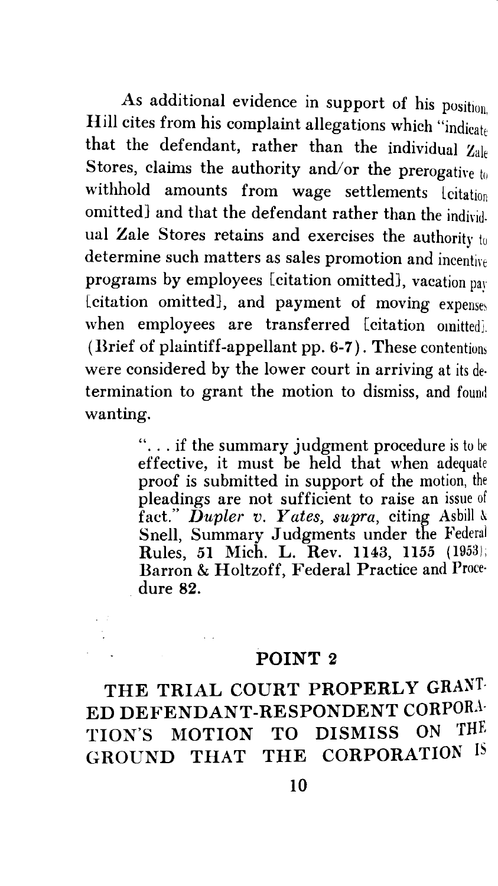As additional evidence in support of his position. Hill cites from his complaint allegations which "indicate that the defendant, rather than the individual  $Z_{ale}$ Stores, claims the authority and/or the prerogative  $t_0$ withhold amounts from wage settlements lcitation omitted} and that the defendant rather than the individual Zale Stores retains and exercises the authority to determine such matters as sales promotion and incentire programs by employees [citation omitted], vacation pay (citation omitted), and payment of moving expenses when employees are transferred [citation omitted]. (Brief of plaintiff-appellant pp. 6-7). These contentions were considered by the lower court in arriving at its determination to grant the motion to dismiss, and found wanting.

> "... if the summary judgment procedure is to be effective, it must be held that when adequate proof is submitted in support of the motion, the pleadings are not sufficient to raise an issue of fact." Dupler v. Yates, supra, citing Asbill & Snell, Summary Judgments under the Federal Rules, 51 Mich. L. Rev. 1143, 1155 (1953); Barron & Holtzoff, Federal Practice and Proce· dure 82.

#### POINT 2

THE TRIAL COURT PROPERLY GRANT-ED DEFENDANT-RESPONDENT CORPORA-TION'S MOTION TO DISMISS ON GROUND THAT THE CORPORATION IS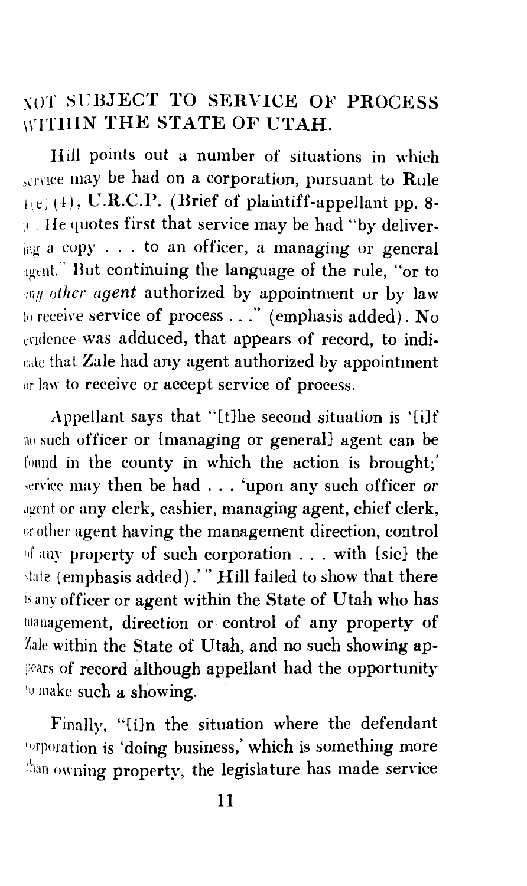### \OT SL'BJECT TO SERVICE OF PROCESS WITHIN THE STATE OF UTAH.

Hill points out a number of situations in which service may be had on a corporation, pursuant to Rule  $11e$ (4), U.R.C.P. (Brief of plaintiff-appellant pp. 8-91. He quotes first that service may be had "by deliver- $\frac{1}{101}$  a copy ... to an officer, a managing or general agent." But continuing the language of the rule, "or to any *other agent* authorized by appointment or by law to receive service of process  $\dots$  " (emphasis added). No evidence was adduced, that appears of record, to indicate that Zale had any agent authorized by appointment or law to receive or accept service of process.

Appellant says that "(t]he second situation is '[i]f no such officer or [managing or general] agent can be found in the county in which the action is brought;' service may then be had . . . 'upon any such officer or agent or any clerk, cashier, managing agent, chief clerk, or other agent having the management direction, control rd' any property of such corporation ... with [sic] the state (emphasis added).'" Hill failed to show that there is any officer or agent within the State of Utah who has 111anagement, direction or control of any property of Zale within the State of Utah, and no such showing ap-:1ears of record although appellant had the opportunity to make such a showing.

Finally, "[i)n the situation where the defendant **Inspiration is 'doing business,' which is something more** than owning property, the legislature has made service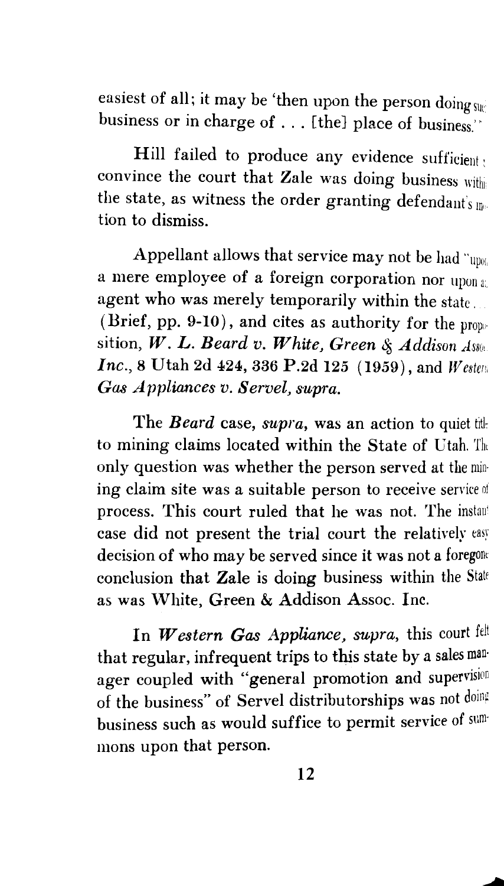easiest of all; it may be 'then upon the person doing  $\sin$ business or in charge of ... [the] place of business.'"

Hill failed to produce any evidence sufficient; convince the court that Zale was doing business withi the state, as witness the order granting defendant's me tion to dismiss.

Appellant allows that service may not be had "upol. a mere employee of a foreign corporation nor upon a: agent who was merely temporarily within the state... (Brief, pp. 9-10), and cites as authority for the propsition, W. L. Beard v. White, Green & Addison Assoc *Inc.*, 8 Utah 2d 424, 336 P.2d 125 (1959), and *W estern Gas Appliances v. Servel, supra.* 

The *Beard* case, *supra*, was an action to quiet title to mining claims located within the State of Utah. The only question was whether the person served at the mining claim site was a suitable person to receive service of process. This court ruled that he was not. The instant case did not present the trial court the relatively easy decision of who may be served since it was not a foregone conclusion that Zale is doing business within the State as was White, Green & Addison Assoc. Inc.

In Western Gas Appliance, supra, this court felt that regular, infrequent trips to this state by a sales man· ager coupled with "general promotion and supervision of the business" of Servel distributorships was not doing business such as would suffice to permit service of sum· mons upon that person.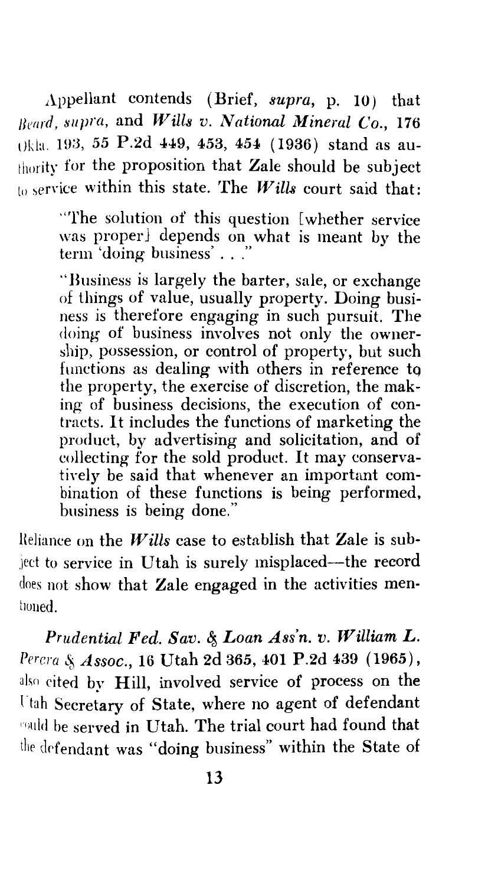Appellant contends (Brief, *supra,* p. IO) that *Beard, supra, and Wills v. National Mineral Co., 176* Ukla. 19:3, *55* P.2d 449, 453, 454 ( 1936) stand as authority for the proposition that Zale should be subject  $t_0$  service within this state. The *Wills* court said that:

> "The solution of this question [whether service was properJ depends on what is meant by the term 'doing business' ... "

> ''Business is largely the barter, sale, or exchange of things of value, usually property. Doing business is therefore engaging in such pursuit. The doing of business involves not only the ownership, possession, or control of property, but such functions as dealing with others in reference to the property, the exercise of discretion, the making of business decisions, the execution of contracts. It includes the functions of marketing the product, by advertising and solicitation, and of collecting for the sold product. It may conservatively be said that whenever an important combination of these functions is being performed, business is being done."

Heliance on the *Wills* case to establish that Zale is sub ject to service in Utah is surely misplaced—the record does not show that Zale engaged in the activities ment1uued.

Prudential Fed. Sav. & Loan Ass'n. v. William L. Percra & Assoc., 16 Utah 2d 365, 401 P.2d 439 (1965), also cited by Hill, involved service of process on the l"tah Secretary of State, where no agent of defendant rould be served in Utah. The trial court had found that the defendant was "doing business" within the State of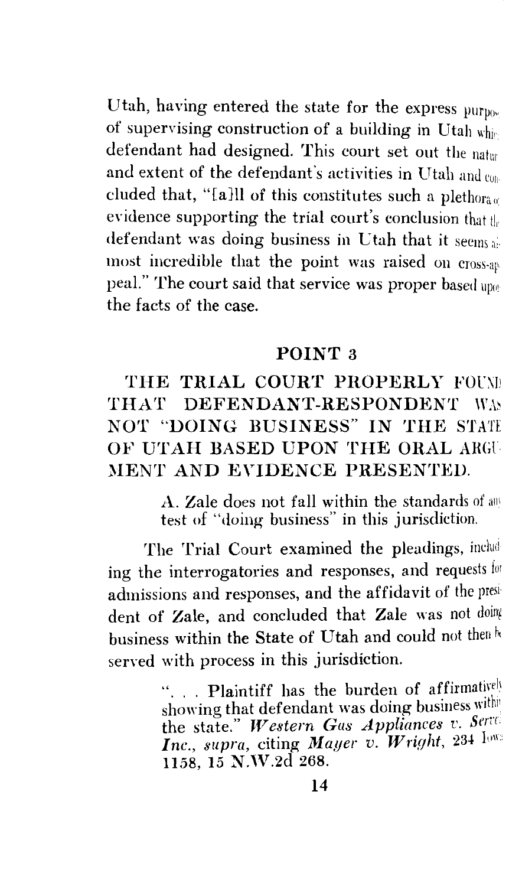Utah, having entered the state for the express  $\text{pump}_{0\text{e}}$ of supervising construction of a building in Utah whir defendant had designed. This court set out the natur and extent of the defendant's activities in Utah and  $c_{011}$ cluded that, "[a]ll of this constitutes such a plethora  $\mathfrak{u}$ evidence supporting the trial court's conclusion that  $t\vert_r$ defendant was doing business in Utah that it seems as most incredible that the point was raised on cross-ap peal." The court said that service was proper based upothe facts of the case.

#### POINT 3

### THE TRIAL COURT PROPERLY FOUND THAT DEFENDANT-RESPONDENT WAS NOT "DOING BUSINESS" IN THE STATE OF UTAH BASED UPON THE ORAL ARGU MENT AND EVIDENCE PRESENTED.

A. Zale does not fall within the standards of any test of "doing business" in this jurisdiction.

The Trial Court examined the pleadings, including the interrogatories and responses, and requests for admissions and responses, and the affidavit of the president of Zale, and concluded that Zale was not doing business within the State of Utah and could not then  $\hbar$ served with process in this jurisdiction.

> .. Plaintiff has the burden of affirmatively showing that defendant was doing business with the state." Western Gas Appliances v. Serre Inc., supra, citing *Mayer v. Wright*, 234  $I<sub>003</sub>$ 1158, 15 N.W.2d<sup>268</sup>.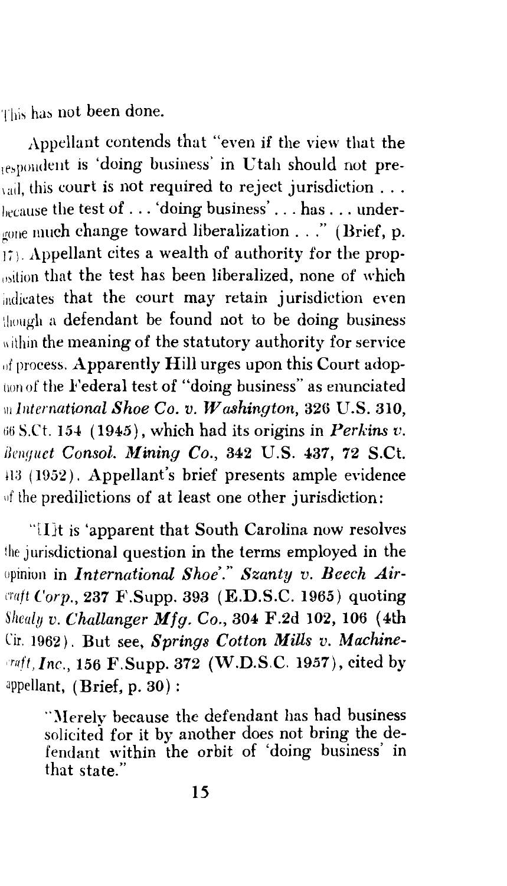This has not been done.

Appellant contends that "even if the view that the respondent is 'doing business' in Utah should not pre- $\alpha$ <sub>vail</sub>, this court is not required to reject jurisdiction ...  $e_{\text{lecause}}$  the test of ... 'doing business' ... has ... undergone much change toward liberalization . . ." (Brief, p.  $\mathbf{I}$ . Appellant cites a wealth of authority for the propwition that the test has been liberalized, none of which indicates that the court may retain jurisdiction even though a defendant be found not to be doing business within the meaning of the statutory authority for service  $_{\text{off}}$  process. Apparently Hill urges upon this Court adoption of the Federal test of "doing business" as enunciated <sup>111</sup>*lnternational Shoe Co. v. Washington,* 326 U.S. 310,  $66$  S.Ct. 154 (1945), which had its origins in *Perkins v. Benquet Consol. Mining Co., 342 U.S. 437, 72 S.Ct.* 413 (1952). Appellant's brief presents ample evidence of the predilictions of at least one other jurisdiction:

"[l}t is 'apparent that South Carolina now resolves the jurisdictional question in the terms employed in the opinion in *International Shoe'." Szanty v. Beech Air-<sup>L</sup>'l'aft Corp.,* 237 F'.Supp. 393 (E.D.S.C. 1965) quoting *Shealy v. Challanger Mfg. Co.,* 304 F.2d 102, 106 (4th Cir. 1962). But see, *Springs Cotton Mills v. Machine-* , *rr1ff, Inc.,* 156 F.Supp. 372 (W.D.S.C. 1957), cited by appellant, (Brief, p. 30) :

> "Merely because the defendant has had business solicited for it by another does not bring the defendant within the orbit of 'doing business' in that state."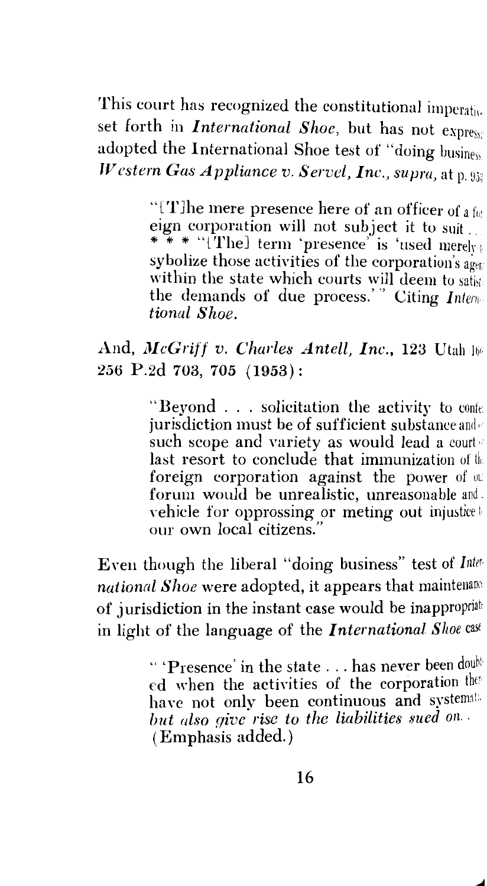This court has recognized the constitutional imperative set forth in *International Shoe,* but has not expres); adopted the International Shoe test of "doing  $\mathrm{b}$ usiness *Western Gas Appliance v. Servel, Inc., supra, at p. 952* 

> "[TJhe mere presence here of an officer of a *for*  eign corporation will not subject it to suit. \* \* \* "[The] term 'presence' is 'used merely sybolize those activities of the corporation's agent within the state which courts will deem to satisfy the demands of due process.'" Citing *Intermala tional Shoe.*

#### And, *McGriff v. Charles Antell, Inc.*, 123 Utah 16 *256* P.2d 703, 705 (1953):

"Beyond . . . solicitation the activity to content jurisdiction must be of sufficient substance and  $\epsilon$ such scope and variety as would lead a courte last resort to conclude that immunization of  $\mathbb{I}$ foreign corporation against the power of  $\omega$ . forum would be unrealistic, unreasonable and. vehicle for opprossing or meting out injustice our own local citizens."

Even though the liberal "doing business" test of *Inter· national Shoe* were adopted, it appears that maintenanc: of jurisdiction in the instant case would be inappropriat in light of the language of the *International Shoe cast* 

> " 'Presence' in the state . . . has never been doubt ed when the activities of the corporation the have not only been continuous and systemat: *but also give rise to the liabilities sued on.* (Emphasis added.)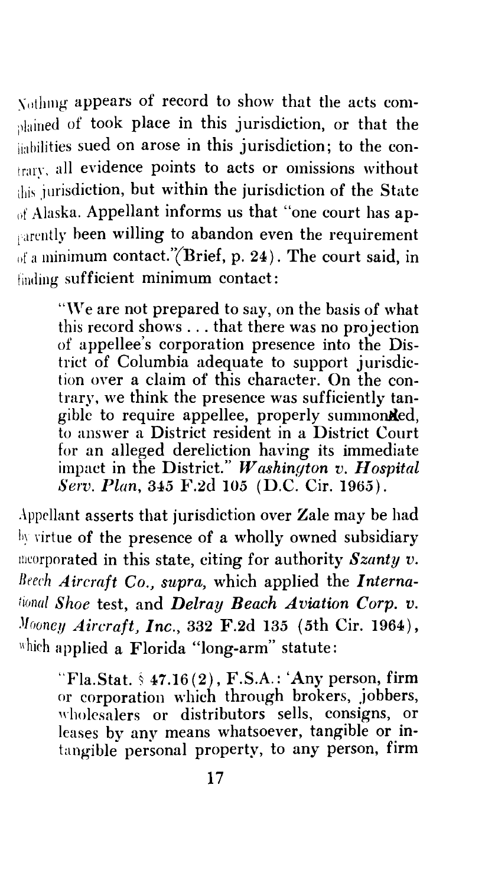$\chi$ <sub>othing</sub> appears of record to show that the acts comblained of took place in this jurisdiction, or that the imbilities sued on arose in this jurisdiction; to the contrary, all evidence points to acts or omissions without lhis jurisdiction, but within the jurisdiction of the State nf Alaska. Appellant informs us that "one court has apearently been willing to abandon even the requirement of a minimum contact."(Brief, p. 24). The court said, in finding sufficient minimum contact:

"\Ye are not prepared to say, on the basis of what this record shows ... that there was no projection of appellee's corporation presence into the District of Columbia adequate to support jurisdiction over a claim of this character. On the contrary, we think the presence was sufficiently tangible to require appellee, properly summonded, to answer a District resident in a District Court for an alleged dereliction having its immediate impact in the District." *Washington v. Hospital Serv. Plan,* 345 F.2d 105 (D.C. Cir. 1965).

Appellant asserts that jurisdiction over Zale may be had liy rirtue of the presence of a wholly owned subsidiary rneorporated in this state, citing for authority *Szanty v. Bt'ech Aircraft Co., supra,* which applied the *lnternational Shoe test, and Delray Beach Aviation Corp. v. Mooney Aircraft, Inc., 332 F.2d 135 (5th Cir. 1964),* which applied a Florida "long-arm" statute:

"Fla.Stat.  $\frac{1}{2}$  47.16(2), F.S.A.: 'Any person, firm or corporation which through brokers, jobbers, wholesalers or distributors sells, consigns, or leases by any means whatsoever, tangible or intangible personal property, to any person, firm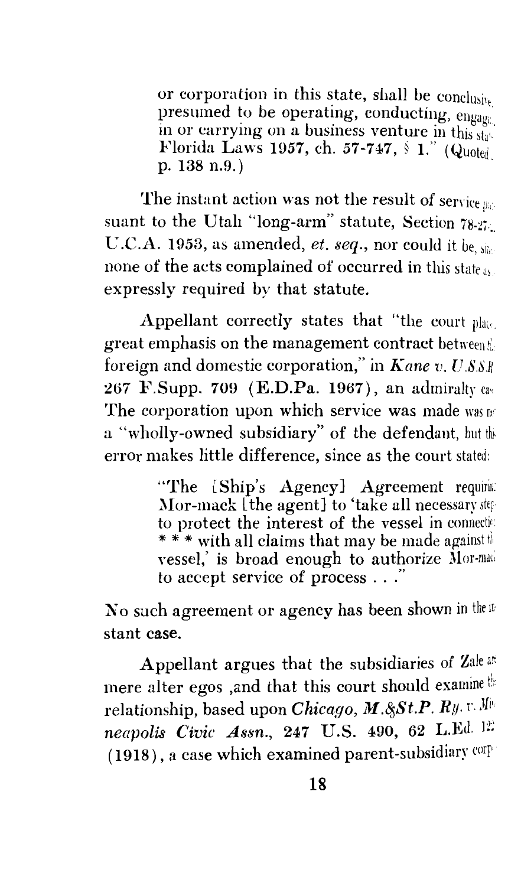or corporation in this state, shall be conclusive presumed to be operating, conducting, engage in or carrying on a business venture in this state Florida Laws 1957, ch. 57-747,  $\frac{1}{2}$  1." (Quoted p. 138 n.9.)

The instant action was not the result of service  $p_{ij}$ . suant to the Utah "long-arm" statute, Section  $78.21$ . C.C.A. 1953, as amended, *et. seq.,* nor could it be, none of the acts complained of occurred in this state as expressly required by that statute.

Appellant correctly states that "the court  $\n *plane*$ great emphasis on the management contract between foreign and domestic corporation," in Kane v.  $U.S.S.$ 267 **F.Supp. 709 (E.D.Pa. 1967)**, an admiralty cas The corporation upon which service was made was  $\mathbb{R}^n$ a "wholly-owned subsidiary" of the defendant, but the error makes little difference, since as the court stated:

> "The  $[Ship's \text{ Agency}]$  Agreement requires Mor-mack  $\hat{t}$  the agent] to 'take all necessary step to protect the interest of the vessel in connection \* \* \* with all claims that may be made against the vessel, is broad enough to authorize Mor-made to accept service of process . . . "

No such agreement or agency has been shown in the ifstant case.

Appellant argues that the subsidiaries of Zale ar: mere alter egos ,and that this court should examine the relationship, based upon *Chicago, M.8\$St.P. Ry.* r. Jfii, *neapolis Civic Assn., 247 U.S. 490, 62 L.Ed. 12* (1918), a case which examined parent-subsidiary corp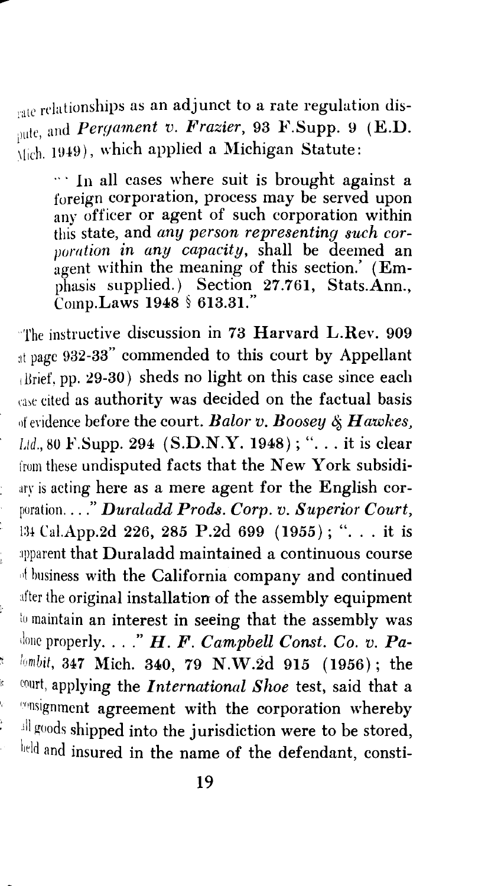rate relationships as an adjunct to a rate regulation dis-<sup>pute, and *Pergament v. Frazier*, 93 F.Supp. 9 (E.D.</sup>  $\overline{\hat{C}}$ <sub>11ch.</sub> 1949), which applied a Michigan Statute:

 $\cdots$  In all cases where suit is brought against a foreign corporation, process may be served upon any officer or agent of such corporation within this state, and *any person representing such corpomtion in any capacity,* shall be deemed an agent within the meaning of this section.' (Emphasis supplied.) Section  $27.761$ , Stats.Ann., Comp.Laws 1948 § 613.31."

The instructive discussion in 73 Harvard L.Rev. 909 at page 932-33" commended to this court by Appellant 1 Brief, pp. 29-30) sheds no light on this case since each case cited as authority was decided on the factual basis 11f eridence before the court. *Bal01· v. Boosey q; Hawkes, Ltd.*, 80 **F.Supp. 294** (S.D.N.Y. 1948); "... it is clear from these undisputed facts that the New York subsidiary is acting here as a mere agent for the English corporation .... " *Duraladd Prods. Corp. v. Superior Court,*  134 Cal.App.2d 226, 285 P.2d 699 (1955); "... it is :1pparent that Duraladd maintained a continuous course of business with the California company and continued after the original installation of the assembly equipment to maintain an interest in seeing that the assembly was 1 lone properly .... " *H. F. Campbell Const. Co. v. Palumbit,* 347 Mich. 340, 79 N.W.2d 915 (1956); the <sup>11</sup> court, applying the *International Shoe* test, said that a ronsignment agreement with the corporation whereby ill goods shipped into the jurisdiction were to be stored, lield and insured in the name of the defendant, consti-

ý

Ų.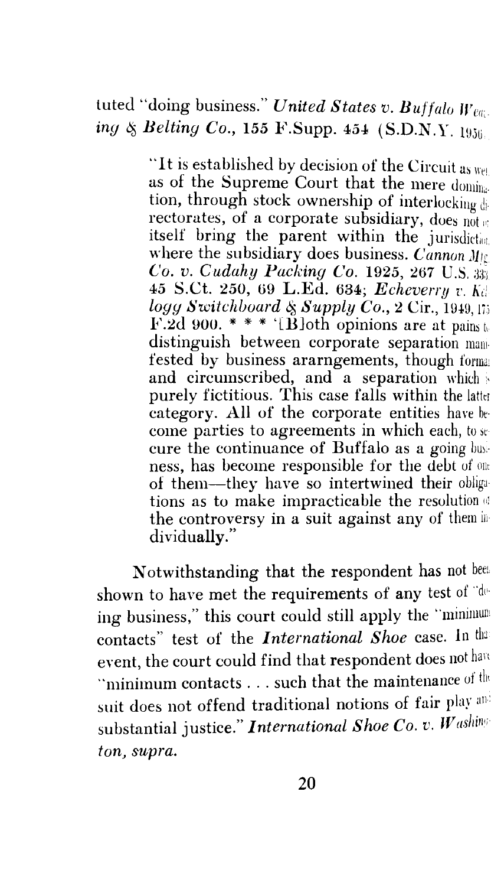### tuted "doing business." *United States v. Buffalo Weeg. ing & Belting Co., 155 F.Supp. 454 (S.D.N.Y. 1956.*

"It is established by decision of the Circuit as  $w_{\text{el}}$ as of the Supreme Court that the mere domination, through stock ownership of interlocking di- ${\rm 2}$  rectorates, of a corporate subsidiary, does  $\mathop{\rm nd} \nolimits_{\mathfrak{m}}$ itself bring the parent within the jurisdiction. where the subsidiary does business. *Cannon*  $M_1$ c *Co. v. Cudahy Packing Co.* 1925, 267 U.S. 45 S.Ct. *250,* 69 L.Ed. 634; *Echeverry v. Ki! logg Switchboard & Supply Co., 2 Cir., 1949, 173* F.2d 900. \* \* \* '[B]oth opinions are at pains to distinguish between corporate separation mamfested by business ararngements, though forma: and circumscribed, and a separation which purely fictitious. This case falls within the latter category. All of the corporate entities have be· come parties to agreements in which each, to se cure the continuance of Buffalo as a going busness, has become responsible for the debt of on1 of them-they have so intertwined their obliga· tions as to make impracticable the resolution of the controversy in a suit against any of them in dividually."

Notwithstanding that the respondent has not been shown to have met the requirements of any test of "doing business," this court could still apply the "minimum contacts" test of the *International Shoe* case. In that event, the court could find that respondent does not have "minimum contacts . . . such that the maintenance of the suit does not offend traditional notions of fair play an: substantial justice." *International Shoe Co. v. Washing ton, supra.*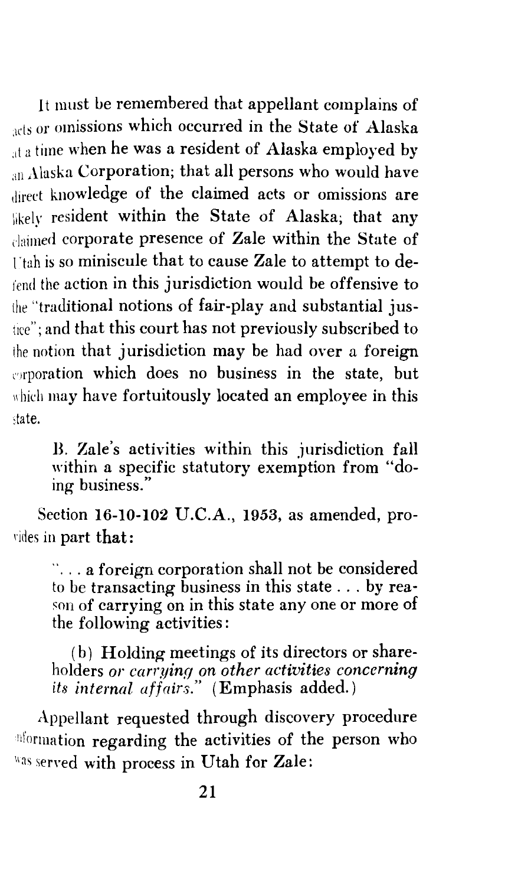It must be remembered that appellant complains of acts or omissions which occurred in the State of Alaska <sub>at a</sub> time when he was a resident of Alaska employed by an Alaska Corporation; that all persons who would have direct knowledge of the claimed acts or omissions are likely resident within the State of Alaska; that any claimed corporate presence of Zale within the State of  $i$  tah is so miniscule that to cause Zale to attempt to defend the action in this jurisdiction would be offensive to the "traditional notions of fair-play and substantial justice"; and that this court has not previously subscribed to the notion that jurisdiction may be had over a foreign **Proporation which does no business in the state, but** which may have fortuitously located an employee in this state.

B. Zale's activities within this jurisdiction fall within a specific statutory exemption from "doing business."

Section 16-10-102 U.C.A., 1953, as amended, prorides in part that:

 $\ldots$  a foreign corporation shall not be considered to be transacting business in this state ... by reason of carrying on in this state any one or more of the following activities:

( b) Holding meetings of its directors or shareholders *or carr,ying on other activities concerning its internal affairs."* (Emphasis added.)

Appellant requested through discovery procedure nformation regarding the activities of the person who Was served with process in Utah for Zale: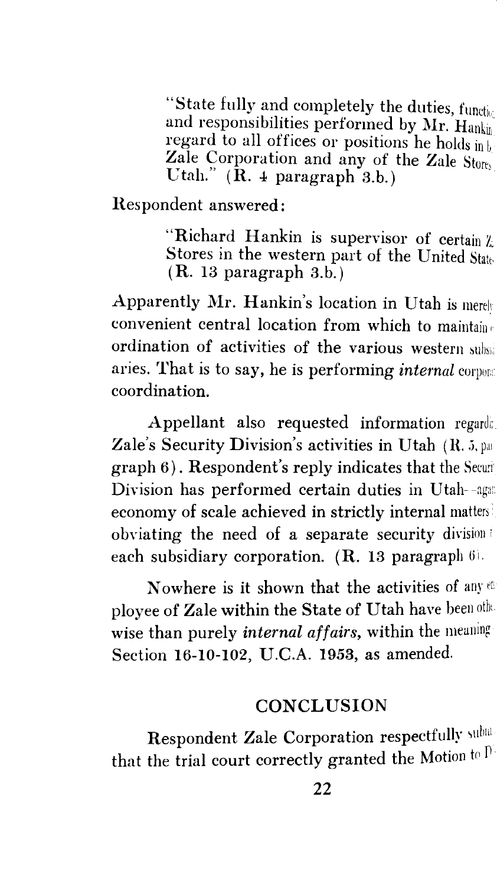"State fully and completely the duties,  $funct_{b\infty}$ and responsibilities performed by Mr.  $\text{Hank}_{\text{lin}}$ regard to all offices or positions he holds in b Zale Corporation and any of the Zale Store Utah."  $(\bar{R}$ . 4 paragraph 3.b.)

Hespondent answered:

"Richard Hankin is supervisor of certain Z; Stores in the western part of the United State, (R. 13 paragraph 3.b.)

Apparently Mr. Hankin's location in Utah is merely convenient central location from which to maintain 1 ordination of activities of the various western aries. That is to say, he is performing *internal* corpor:: coordination.

Appellant also requested information regards. Zale's Security Division's activities in Utah  $(R. 5.$  path  $graph 6$ ). Respondent's reply indicates that the Securi Division has performed certain duties in Utah--aga: economy of scale achieved in strictly internal matters<sup>i</sup> obviating the need of a separate security division <sup>i</sup> each subsidiary corporation.  $(R. 13$  paragraph  $6$ .

Nowhere is it shown that the activities of any  $e$ ployee of Zale within the State of Utah have been other wise than purely *internal affairs,* within the meaning Section 16-10-102, U.C.A. 1953, as amended.

#### **CONCLUSION**

Respondent Zale Corporation respectfully submthat the trial court correctly granted the Motion to  $\overline{P}$